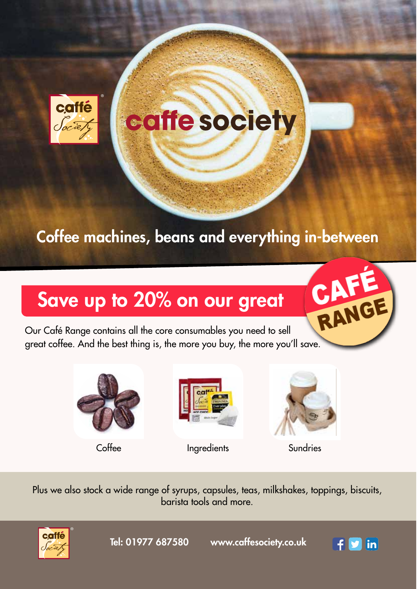

# caffe society

## Coffee machines, beans and everything in-between

## Save up to 20% on our great

RANGE Our Café Range contains all the core consumables you need to sell great coffee. And the best thing is, the more you buy, the more you'll save.





Coffee Ingredients Sundries



Plus we also stock a wide range of syrups, capsules, teas, milkshakes, toppings, biscuits, barista tools and more.



Tel: 01977 687580 www.caffesociety.co.uk

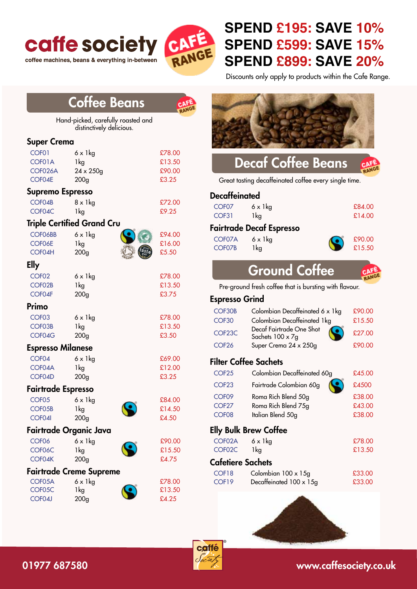

coffee machines, beans & everything in-between



#### **SPEND £195: SAVE 10% SPEND £599: SAVE 15% SPEND £899: SAVE 20%**

Discounts only apply to products within the Cafe Range.

|                                                       | <b>Coffee Beans</b>                                                          |                                     |                                                             |                                                                                                                                         |                                      |
|-------------------------------------------------------|------------------------------------------------------------------------------|-------------------------------------|-------------------------------------------------------------|-----------------------------------------------------------------------------------------------------------------------------------------|--------------------------------------|
|                                                       | Hand-picked, carefully roasted and<br>distinctively delicious.               |                                     |                                                             |                                                                                                                                         |                                      |
| <b>Super Crema</b>                                    |                                                                              |                                     |                                                             |                                                                                                                                         |                                      |
| COF01<br>COF01A<br>COF026A<br>COF04E                  | $6 \times 1$ kg<br>1kg<br>$24 \times 250$ g<br>200 <sub>g</sub>              | £78.00<br>£13.50<br>£90.00<br>£3.25 |                                                             | <b>Decaf Coffee Beans</b><br>Great tasting decaffeinated coffee every single time.                                                      |                                      |
|                                                       | Supremo Espresso                                                             |                                     |                                                             |                                                                                                                                         |                                      |
| COF04B<br>COF04C                                      | $8 \times 1$ kg<br>1kg                                                       | £72.00<br>£9.25                     | <b>Decaffeinated</b><br>COF <sub>07</sub><br>COF31          | $6 \times 1$ kg<br>1 <sub>kg</sub>                                                                                                      | £84.00<br>£14.00                     |
| <b>Triple Certified Grand Cru</b>                     |                                                                              |                                     | <b>Fairtrade Decaf Espresso</b>                             |                                                                                                                                         |                                      |
| COF06BB<br>COF06E<br>COF04H                           | $6 \times 1$ kg<br>1kg<br>200 <sub>g</sub>                                   | £94.00<br>£16.00<br>£5.50           | COF07A<br>COF07B                                            | $6 \times 1$ kg<br>1kg                                                                                                                  | £90.00<br>£15.50                     |
| <b>Elly</b>                                           |                                                                              |                                     |                                                             |                                                                                                                                         |                                      |
| COF <sub>02</sub><br>COF02B                           | $6 \times 1$ kg<br>1kg                                                       | £78.00<br>£13.50                    |                                                             | <b>Ground Coffee</b><br>Pre-ground fresh coffee that is bursting with flavour.                                                          |                                      |
| COF04F                                                | 200 <sub>g</sub>                                                             | £3.75                               | <b>Espresso Grind</b>                                       |                                                                                                                                         |                                      |
| <b>Primo</b><br>COF <sub>03</sub><br>COF03B<br>COF04G | $6 \times 1$ kg<br>1kg<br>200 <sub>g</sub><br><b>Espresso Milanese</b>       | £78.00<br>£13.50<br>£3.50           | COF30B<br>COF30<br>COF <sub>23</sub> C<br>COF <sub>26</sub> | Colombian Decaffeinated 6 x 1kg<br>Colombian Decaffeinated 1kg<br>Decaf Fairtrade One Shot<br>Sachets 100 x 7g<br>Super Crema 24 x 250g | £90.00<br>£15.50<br>£27.00<br>£90.00 |
| COF04                                                 | $6 \times 1$ kg                                                              | £69.00                              |                                                             | <b>Filter Coffee Sachets</b>                                                                                                            |                                      |
| COF04A<br>COF04D                                      | 1kg                                                                          | £12.00<br>£3.25                     | COF <sub>25</sub>                                           | Colombian Decaffeinated 60g                                                                                                             | £45.00                               |
|                                                       | 200 <sub>g</sub>                                                             |                                     | COF <sub>23</sub>                                           | Fairtrade Colombian 60g                                                                                                                 | £4500                                |
| COF <sub>05</sub><br>COF05B<br>COF04I                 | <b>Fairtrade Espresso</b><br>$6 \times 1$ kg<br>1kg<br>200 <sub>g</sub>      | £84.00<br>£14.50<br>£4.50           | COF <sub>09</sub><br>COF <sub>27</sub><br>COF <sub>08</sub> | Roma Rich Blend 50g<br>Roma Rich Blend 75g<br>Italian Blend 50g                                                                         | £38.00<br>£43.00<br>£38.00           |
|                                                       | Fairtrade Organic Java                                                       |                                     |                                                             | <b>Elly Bulk Brew Coffee</b>                                                                                                            |                                      |
| COF <sub>06</sub><br>COF06C                           | $6 \times 1$ kg<br>1kg                                                       | £90.00<br>£15.50                    | COF02A<br>COF02C                                            | $6 \times 1$ kg<br>1kg                                                                                                                  | £78.00<br>£13.50                     |
| COF04K                                                | 200 <sub>g</sub>                                                             | £4.75                               | <b>Cafetiere Sachets</b>                                    |                                                                                                                                         |                                      |
| COF05A<br>COF05C<br>COF04J                            | <b>Fairtrade Creme Supreme</b><br>$6 \times 1$ kg<br>1kg<br>200 <sub>g</sub> | £78.00<br>£13.50<br>£4.25           | COF18<br>COF19                                              | Colombian 100 x 15g<br>Decaffeinated $100 \times 15$ g                                                                                  | £33.00<br>£33.00                     |



#### 01977 687580 www.caffesociety.co.uk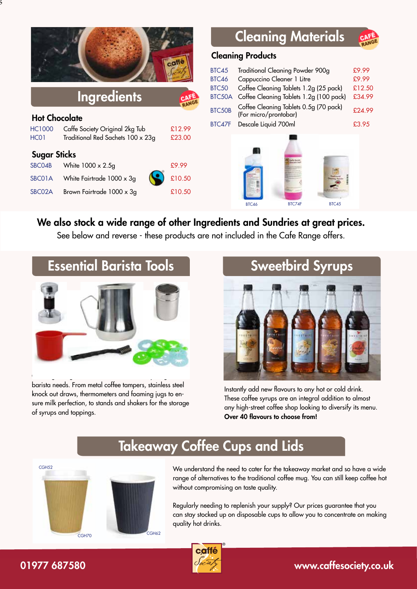|                      |                                   | caffe  | B<br>B<br>B |
|----------------------|-----------------------------------|--------|-------------|
|                      | <b>Ingredients</b>                |        | B           |
| <b>Hot Chocolate</b> |                                   |        | B           |
| <b>HC1000</b>        | Caffe Society Original 2kg Tub    | £12.99 | B           |
| HC <sub>01</sub>     | Traditional Red Sachets 100 x 23g | £23.00 |             |
| <b>Sugar Sticks</b>  |                                   |        |             |
| SBC04B               | White 1000 x 2.5g                 | £9.99  |             |
| SBC01A               | White Fairtrade $1000 \times 3g$  | £10.50 |             |
| SBC02A               | Brown Fairtrade 1000 x 3g         | £10.50 |             |
|                      |                                   |        |             |

 $_5^{\prime}$ 

### Cleaning Materials

#### Cleaning Products

|              |                                                                 | £9.99  |
|--------------|-----------------------------------------------------------------|--------|
| BTC45        | Traditional Cleaning Powder 900g                                |        |
| <b>BTC46</b> | Cappuccino Cleaner 1 Litre                                      | £9.99  |
| <b>BTC50</b> | Coffee Cleaning Tablets 1.2g (25 pack)                          | £12.50 |
| BTC50A       | Coffee Cleaning Tablets 1.2g (100 pack)                         | £34.99 |
| BTC50B       | Coffee Cleaning Tablets 0.5g (70 pack)<br>(For micro/prontobar) | £24.99 |
| BTC47F       | Descale Liquid 700ml                                            | £3.95  |
|              |                                                                 |        |



#### We also stock a wide range of other Ingredients and Sundries at great prices.

See below and reverse - these products are not included in the Cafe Range offers.

## Essential Barista Tools



barista needs. From metal coffee tampers, stainless steel knock out draws, thermometers and foaming jugs to ensure milk perfection, to stands and shakers for the storage of syrups and toppings.

# Sweetbird Syrups

Instantly add new flavours to any hot or cold drink. These coffee syrups are an integral addition to almost any high-street coffee shop looking to diversify its menu. Over 40 flavours to choose from!

#### Takeaway Coffee Cups and Lids



CGH52 We understand the need to cater for the takeaway market and so have a wide range of alternatives to the traditional coffee mug. You can still keep coffee hot without compromising on taste quality.

> Regularly needing to replenish your supply? Our prices guarantee that you can stay stocked up on disposable cups to allow you to concentrate on making quality hot drinks.



#### 01977 687580 **by a straight of the straight of the straight of the straight of the straight of the straight of the straight of the straight of the straight of the straight of the straight of the straight of the straight o**